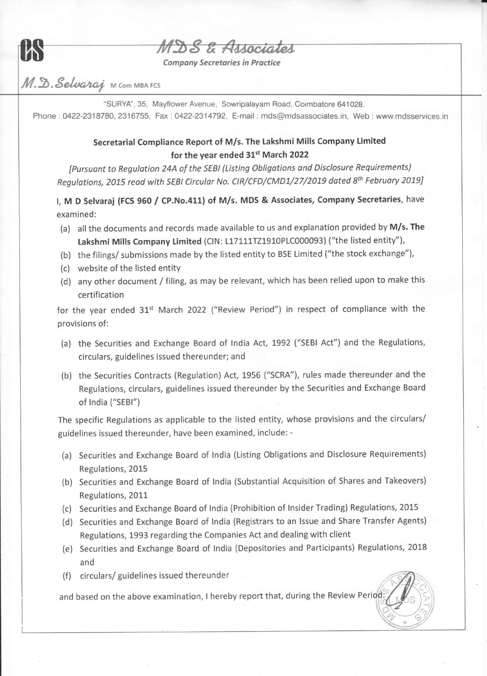

## S & Associates

**Company Secretaries in Practice** 

## $M.\mathbb{D}.\mathcal{S}elvaraj$  M Com MBA FCS

"SURYA", 35, Mayflower Avenue, Sowripalayam Road, Coimbatore 641028. Phone : 0422-2318780, 2316755, Fax : 0422-2314792, E-mail : mds@mdsassociates.in, Web : www.mdsservices.in

## Secretarial Compliance Report of M/s. The Lakshmi Mills Company Limited for the year ended 31<sup>st</sup> March 2022

IPursuont to Regulotion 24A of the sEBl (Listing obligations ond Disclosure Requirements) Regulations, 2015 read with SEBI Circular No. CIR/CFD/CMD1/27/2019 dated 8<sup>th</sup> February 2019]

I, M D Selvaraj (FCS 960 / CP.No.411) of M/s. MDS & Associates, Company Secretaries, have examined:

- (a) all the documents and records made available to us and explanation provided by M/s. The Lakshmi Mills Company Limited (CIN: L17111TZ1910PLC000093) ("the listed entity"),
- (b) the filings/ submissions made by the listed entity to BSE Limited ("the stock exchange"),
- (c) website of the listed entity
- (d) any other document / filing, as may be relevant, which has been relied upon to make this certification

for the year ended  $31^{st}$  March 2022 ("Review Period") in respect of compliance with the provisions of:

- (a) the Securities and Exchange Board of India Act, 1992 ("SEBI Act") and the Regulations, circulars, guidelines issued thereunder; and
- (b) the Securities Contracts (Regulation) Act, 1956 ("SCRA"), rules made thereunder and the Regulations, circulars, guidelines issued thereunder by the Securities and Exchange Board of lndia ("SEB|")

The specific Regulations as applicable to the listed entity, whose provisions and the circulars/ guidelines issued thereunder, have been examined, include: -

- (a) Securities and Exchange Board of lndia (Listing Obligations and Disclosure Requirements) Regulations, 2015
- (b) Securities and Exchange Board of lndia (substantial Acquisition of Shares and Takeovers) Regulations,2011
- (c) Securities and Exchange Board of lndia (Prohibition of lnsider Trading) Regulations, 2015
- (d) Securities and Exchange Board of India (Registrars to an Issue and Share Transfer Agents) Regulations, 1993 regarding the Companies Act and dealing with client
- (e) securities and Exchange Board of lndia (Depositories and Participants) Regulations, 2018 and
- (f) circulars/ guidelines issued thereunder

and based on the above examination, I hereby report that, during the Review Period: